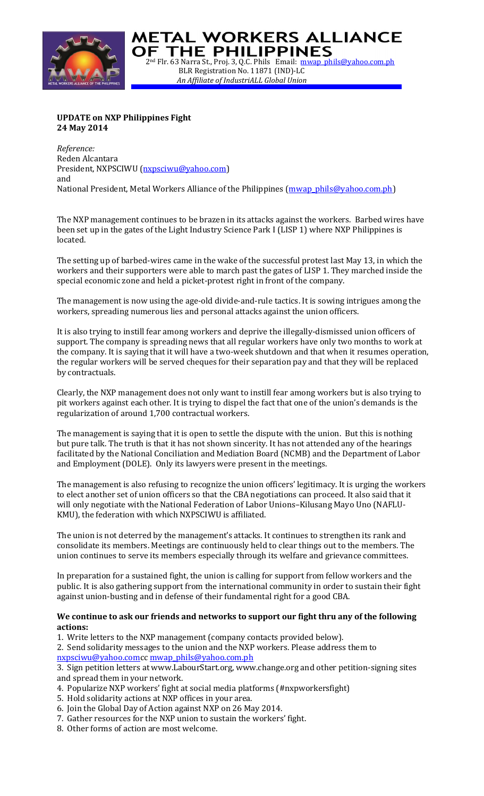

**DF THE PHILIPPINES** 2<sup>nd</sup> Flr. 63 Narra St., Proj. 3, Q.C. Phils Email: mwap phils@yahoo.com.ph BLR Registration No. 11871 (IND)-LC *An Affiliate of IndustriALL Global Union*

**WETAL WORKERS ALLIANCE** 

## **UPDATE on NXP Philippines Fight 24 May 2014**

*Reference:* Reden Alcantara President, NXPSCIWU [\(nxpsciwu@yahoo.com\)](mailto:nxpsciwu@yahoo.com) and National President, Metal Workers Alliance of the Philippines [\(mwap\\_phils@yahoo.com.ph\)](mailto:mwap_phils@yahoo.com.ph)

The NXP management continues to be brazen in its attacks against the workers. Barbed wires have been set up in the gates of the Light Industry Science Park I (LISP 1) where NXP Philippines is located.

The setting up of barbed-wires came in the wake of the successful protest last May 13, in which the workers and their supporters were able to march past the gates of LISP 1. They marched inside the special economic zone and held a picket-protest right in front of the company.

The management is now using the age-old divide-and-rule tactics. It is sowing intrigues among the workers, spreading numerous lies and personal attacks against the union officers.

It is also trying to instill fear among workers and deprive the illegally-dismissed union officers of support. The company is spreading news that all regular workers have only two months to work at the company. It is saying that it will have a two-week shutdown and that when it resumes operation, the regular workers will be served cheques for their separation pay and that they will be replaced by contractuals.

Clearly, the NXP management does not only want to instill fear among workers but is also trying to pit workers against each other. It is trying to dispel the fact that one of the union's demands is the regularization of around 1,700 contractual workers.

The management is saying that it is open to settle the dispute with the union. But this is nothing but pure talk. The truth is that it has not shown sincerity. It has not attended any of the hearings facilitated by the National Conciliation and Mediation Board (NCMB) and the Department of Labor and Employment (DOLE). Only its lawyers were present in the meetings.

The management is also refusing to recognize the union officers' legitimacy. It is urging the workers to elect another set of union officers so that the CBA negotiations can proceed. It also said that it will only negotiate with the National Federation of Labor Unions–Kilusang Mayo Uno (NAFLU-KMU), the federation with which NXPSCIWU is affiliated.

The union is not deterred by the management's attacks. It continues to strengthen its rank and consolidate its members. Meetings are continuously held to clear things out to the members. The union continues to serve its members especially through its welfare and grievance committees.

In preparation for a sustained fight, the union is calling for support from fellow workers and the public. It is also gathering support from the international community in order to sustain their fight against union-busting and in defense of their fundamental right for a good CBA.

## **We continue to ask our friends and networks to support our fight thru any of the following actions:**

- 1. Write letters to the NXP management (company contacts provided below).
- 2. Send solidarity messages to the union and the NXP workers. Please address them to [nxpsciwu@yahoo.comc](mailto:nxpsciwu@yahoo.com)[c mwap\\_phils@yahoo.com.ph](mailto:mwap_phils@yahoo.com.ph)

3. Sign petition letters at www.LabourStart.org, www.change.org and other petition-signing sites and spread them in your network.

- 4. Popularize NXP workers' fight at social media platforms (#nxpworkersfight)
- 5. Hold solidarity actions at NXP offices in your area.
- 6. Join the Global Day of Action against NXP on 26 May 2014.
- 7. Gather resources for the NXP union to sustain the workers' fight.
- 8. Other forms of action are most welcome.